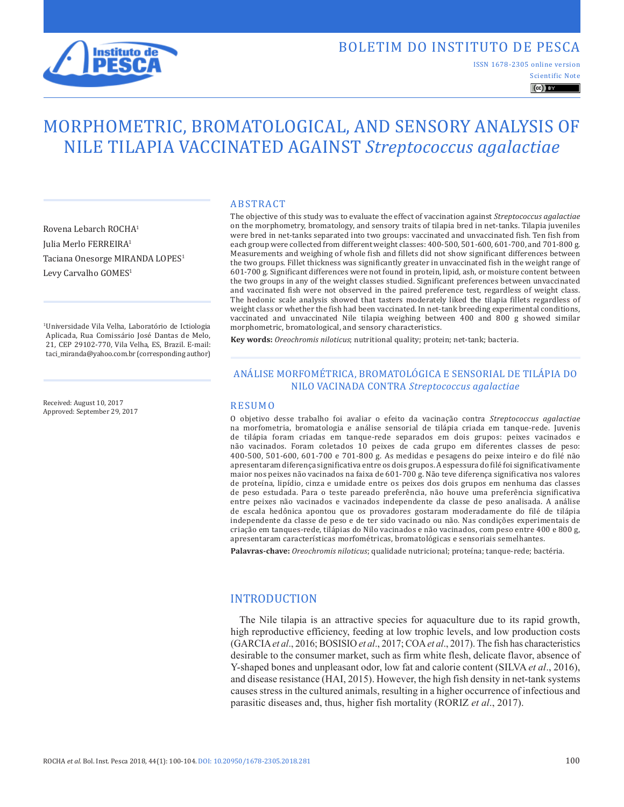

## BOLETIM DO INSTITUTO DE PESCA

Scientific Note ISSN 1678-2305 online version

## $\left(\mathrm{cc}\right)$  BY

# MORPHOMETRIC, BROMATOLOGICAL, AND SENSORY ANALYSIS OF NILE TILAPIA VACCINATED AGAINST *Streptococcus agalactiae*

Rovena Lebarch ROCHA1 Julia Merlo FERREIRA1 Taciana Onesorge MIRANDA LOPES<sup>1</sup> Levy Carvalho GOMES<sup>1</sup>

1Universidade Vila Velha, Laboratório de Ictiologia Aplicada, Rua Comissário José Dantas de Melo, 21, CEP 29102-770, Vila Velha, ES, Brazil. E-mail: taci\_miranda@yahoo.com.br (corresponding author)

Received: August 10, 2017 Approved: September 29, 2017

#### ABSTRACT

The objective of this study was to evaluate the effect of vaccination against *Streptococcus agalactiae* on the morphometry, bromatology, and sensory traits of tilapia bred in net-tanks. Tilapia juveniles were bred in net-tanks separated into two groups: vaccinated and unvaccinated fish. Ten fish from each group were collected from different weight classes: 400-500, 501-600, 601-700, and 701-800 g. Measurements and weighing of whole fish and fillets did not show significant differences between the two groups. Fillet thickness was significantly greater in unvaccinated fish in the weight range of 601-700 g. Significant differences were not found in protein, lipid, ash, or moisture content between the two groups in any of the weight classes studied. Significant preferences between unvaccinated and vaccinated fish were not observed in the paired preference test, regardless of weight class. The hedonic scale analysis showed that tasters moderately liked the tilapia fillets regardless of weight class or whether the fish had been vaccinated. In net-tank breeding experimental conditions, vaccinated and unvaccinated Nile tilapia weighing between 400 and 800 g showed similar morphometric, bromatological, and sensory characteristics.

**Key words:** *Oreochromis niloticus*; nutritional quality; protein; net-tank; bacteria.

#### ANÁLISE MORFOMÉTRICA, BROMATOLÓGICA E SENSORIAL DE TILÁPIA DO NILO VACINADA CONTRA *Streptococcus agalactiae*

#### RESUMO

O objetivo desse trabalho foi avaliar o efeito da vacinação contra *Streptococcus agalactiae* na morfometria, bromatologia e análise sensorial de tilápia criada em tanque-rede. Juvenis de tilápia foram criadas em tanque-rede separados em dois grupos: peixes vacinados e não vacinados. Foram coletados 10 peixes de cada grupo em diferentes classes de peso: 400-500, 501-600, 601-700 e 701-800 g. As medidas e pesagens do peixe inteiro e do filé não apresentaram diferença significativa entre os dois grupos. A espessura do filé foi significativamente maior nos peixes não vacinados na faixa de 601-700 g. Não teve diferença significativa nos valores de proteína, lipídio, cinza e umidade entre os peixes dos dois grupos em nenhuma das classes de peso estudada. Para o teste pareado preferência, não houve uma preferência significativa entre peixes não vacinados e vacinados independente da classe de peso analisada. A análise de escala hedônica apontou que os provadores gostaram moderadamente do filé de tilápia independente da classe de peso e de ter sido vacinado ou não. Nas condições experimentais de criação em tanques-rede, tilápias do Nilo vacinados e não vacinados, com peso entre 400 e 800 g, apresentaram características morfométricas, bromatológicas e sensoriais semelhantes.

**Palavras-chave:** *Oreochromis niloticus*; qualidade nutricional; proteína; tanque-rede; bactéria.

#### INTRODUCTION

The Nile tilapia is an attractive species for aquaculture due to its rapid growth, high reproductive efficiency, feeding at low trophic levels, and low production costs (GARCIA*et al*., 2016; BOSISIO *et al*., 2017; COA*et al*., 2017). The fish has characteristics desirable to the consumer market, such as firm white flesh, delicate flavor, absence of Y-shaped bones and unpleasant odor, low fat and calorie content (SILVA *et al*., 2016), and disease resistance (HAI, 2015). However, the high fish density in net-tank systems causes stress in the cultured animals, resulting in a higher occurrence of infectious and parasitic diseases and, thus, higher fish mortality (RORIZ *et al*., 2017).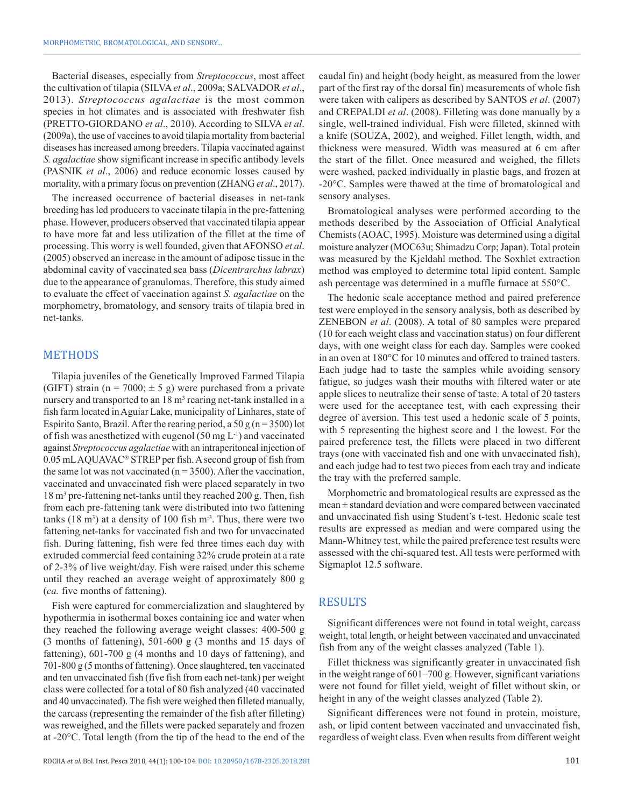Bacterial diseases, especially from *Streptococcus*, most affect the cultivation of tilapia (SILVA*et al*., 2009a; SALVADOR *et al*., 2013). *Streptococcus agalactiae* is the most common species in hot climates and is associated with freshwater fish (PRETTO-GIORDANO *et al*., 2010). According to SILVA *et al*. (2009a), the use of vaccines to avoid tilapia mortality from bacterial diseases has increased among breeders. Tilapia vaccinated against *S. agalactiae* show significant increase in specific antibody levels (PASNIK *et al*., 2006) and reduce economic losses caused by mortality, with a primary focus on prevention (ZHANG *et al*., 2017).

The increased occurrence of bacterial diseases in net-tank breeding has led producers to vaccinate tilapia in the pre-fattening phase. However, producers observed that vaccinated tilapia appear to have more fat and less utilization of the fillet at the time of processing. This worry is well founded, given that AFONSO *et al*. (2005) observed an increase in the amount of adipose tissue in the abdominal cavity of vaccinated sea bass (*Dicentrarchus labrax*) due to the appearance of granulomas. Therefore, this study aimed to evaluate the effect of vaccination against *S. agalactiae* on the morphometry, bromatology, and sensory traits of tilapia bred in net-tanks.

#### METHODS

Tilapia juveniles of the Genetically Improved Farmed Tilapia (GIFT) strain ( $n = 7000$ ;  $\pm$  5 g) were purchased from a private nursery and transported to an  $18 \text{ m}^3$  rearing net-tank installed in a fish farm located in Aguiar Lake, municipality of Linhares, state of Espírito Santo, Brazil. After the rearing period, a 50 g (n = 3500) lot of fish was anesthetized with eugenol (50 mg L-1) and vaccinated against *Streptococcus agalactiae* with an intraperitoneal injection of  $0.05$  mL AQUAVAC<sup>®</sup> STREP per fish. A second group of fish from the same lot was not vaccinated ( $n = 3500$ ). After the vaccination, vaccinated and unvaccinated fish were placed separately in two 18 m3 pre-fattening net-tanks until they reached 200 g. Then, fish from each pre-fattening tank were distributed into two fattening tanks  $(18 \text{ m}^3)$  at a density of 100 fish  $\text{m}^3$ . Thus, there were two fattening net-tanks for vaccinated fish and two for unvaccinated fish. During fattening, fish were fed three times each day with extruded commercial feed containing 32% crude protein at a rate of 2-3% of live weight/day. Fish were raised under this scheme until they reached an average weight of approximately 800 g (*ca.* five months of fattening).

Fish were captured for commercialization and slaughtered by hypothermia in isothermal boxes containing ice and water when they reached the following average weight classes: 400-500 g (3 months of fattening), 501-600 g (3 months and 15 days of fattening), 601-700 g (4 months and 10 days of fattening), and 701-800 g (5 months of fattening). Once slaughtered, ten vaccinated and ten unvaccinated fish (five fish from each net-tank) per weight class were collected for a total of 80 fish analyzed (40 vaccinated and 40 unvaccinated). The fish were weighed then filleted manually, the carcass (representing the remainder of the fish after filleting) was reweighed, and the fillets were packed separately and frozen at -20°C. Total length (from the tip of the head to the end of the caudal fin) and height (body height, as measured from the lower part of the first ray of the dorsal fin) measurements of whole fish were taken with calipers as described by SANTOS *et al*. (2007) and CREPALDI *et al*. (2008). Filleting was done manually by a single, well-trained individual. Fish were filleted, skinned with a knife (SOUZA, 2002), and weighed. Fillet length, width, and thickness were measured. Width was measured at 6 cm after the start of the fillet. Once measured and weighed, the fillets were washed, packed individually in plastic bags, and frozen at -20°C. Samples were thawed at the time of bromatological and sensory analyses.

Bromatological analyses were performed according to the methods described by the Association of Official Analytical Chemists (AOAC, 1995). Moisture was determined using a digital moisture analyzer (MOC63u; Shimadzu Corp; Japan). Total protein was measured by the Kjeldahl method. The Soxhlet extraction method was employed to determine total lipid content. Sample ash percentage was determined in a muffle furnace at 550°C.

The hedonic scale acceptance method and paired preference test were employed in the sensory analysis, both as described by ZENEBON *et al*. (2008). A total of 80 samples were prepared (10 for each weight class and vaccination status) on four different days, with one weight class for each day. Samples were cooked in an oven at 180°C for 10 minutes and offered to trained tasters. Each judge had to taste the samples while avoiding sensory fatigue, so judges wash their mouths with filtered water or ate apple slices to neutralize their sense of taste. A total of 20 tasters were used for the acceptance test, with each expressing their degree of aversion. This test used a hedonic scale of 5 points, with 5 representing the highest score and 1 the lowest. For the paired preference test, the fillets were placed in two different trays (one with vaccinated fish and one with unvaccinated fish), and each judge had to test two pieces from each tray and indicate the tray with the preferred sample.

Morphometric and bromatological results are expressed as the mean ± standard deviation and were compared between vaccinated and unvaccinated fish using Student's t-test. Hedonic scale test results are expressed as median and were compared using the Mann-Whitney test, while the paired preference test results were assessed with the chi-squared test. All tests were performed with Sigmaplot 12.5 software.

## RESULTS

Significant differences were not found in total weight, carcass weight, total length, or height between vaccinated and unvaccinated fish from any of the weight classes analyzed (Table 1).

Fillet thickness was significantly greater in unvaccinated fish in the weight range of 601–700 g. However, significant variations were not found for fillet yield, weight of fillet without skin, or height in any of the weight classes analyzed (Table 2).

Significant differences were not found in protein, moisture, ash, or lipid content between vaccinated and unvaccinated fish, regardless of weight class. Even when results from different weight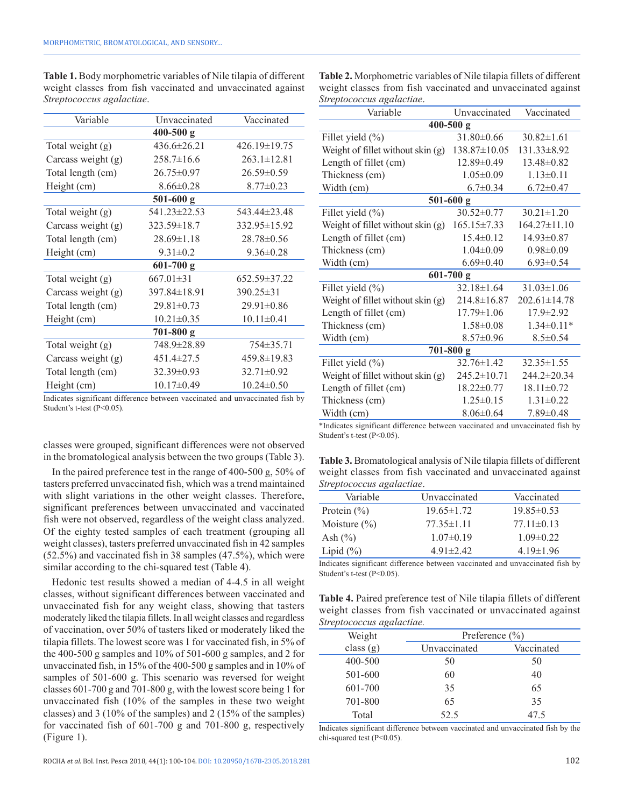| Variable           | Unvaccinated      | Vaccinated         |  |  |  |
|--------------------|-------------------|--------------------|--|--|--|
|                    | $400 - 500$ g     |                    |  |  |  |
| Total weight (g)   | $436.6 \pm 26.21$ | 426.19±19.75       |  |  |  |
| Carcass weight (g) | $258.7 \pm 16.6$  | $263.1 \pm 12.81$  |  |  |  |
| Total length (cm)  | $26.75 \pm 0.97$  | $26.59 \pm 0.59$   |  |  |  |
| Height (cm)        | $8.66 \pm 0.28$   | $8.77 \pm 0.23$    |  |  |  |
|                    | $501 - 600$ g     |                    |  |  |  |
| Total weight (g)   | 541.23±22.53      | 543.44±23.48       |  |  |  |
| Carcass weight (g) | $323.59 \pm 18.7$ | 332.95±15.92       |  |  |  |
| Total length (cm)  | $28.69 \pm 1.18$  | $28.78 \pm 0.56$   |  |  |  |
| Height (cm)        | $9.31 \pm 0.2$    | $9.36 \pm 0.28$    |  |  |  |
|                    | $601-700$ g       |                    |  |  |  |
| Total weight (g)   | $667.01 \pm 31$   | $652.59 \pm 37.22$ |  |  |  |
| Carcass weight (g) | 397.84±18.91      | $390.25 \pm 31$    |  |  |  |
| Total length (cm)  | $29.81 \pm 0.73$  | $29.91 \pm 0.86$   |  |  |  |
| Height (cm)        | $10.21 \pm 0.35$  | $10.11 \pm 0.41$   |  |  |  |
| $701 - 800$ g      |                   |                    |  |  |  |
| Total weight (g)   | 748.9±28.89       | 754±35.71          |  |  |  |
| Carcass weight (g) | $451.4 \pm 27.5$  | 459.8±19.83        |  |  |  |
| Total length (cm)  | 32.39±0.93        | $32.71 \pm 0.92$   |  |  |  |
| Height (cm)        | $10.17 \pm 0.49$  | $10.24 \pm 0.50$   |  |  |  |

**Table 1.** Body morphometric variables of Nile tilapia of different weight classes from fish vaccinated and unvaccinated against *Streptococcus agalactiae*.

Indicates significant difference between vaccinated and unvaccinated fish by Student's t-test (P<0.05).

classes were grouped, significant differences were not observed in the bromatological analysis between the two groups (Table 3).

In the paired preference test in the range of 400-500 g, 50% of tasters preferred unvaccinated fish, which was a trend maintained with slight variations in the other weight classes. Therefore, significant preferences between unvaccinated and vaccinated fish were not observed, regardless of the weight class analyzed. Of the eighty tested samples of each treatment (grouping all weight classes), tasters preferred unvaccinated fish in 42 samples (52.5%) and vaccinated fish in 38 samples (47.5%), which were similar according to the chi-squared test (Table 4).

Hedonic test results showed a median of 4-4.5 in all weight classes, without significant differences between vaccinated and unvaccinated fish for any weight class, showing that tasters moderately liked the tilapia fillets. In all weight classes and regardless of vaccination, over 50% of tasters liked or moderately liked the tilapia fillets. The lowest score was 1 for vaccinated fish, in 5% of the 400-500 g samples and 10% of 501-600 g samples, and 2 for unvaccinated fish, in 15% of the 400-500 g samples and in 10% of samples of 501-600 g. This scenario was reversed for weight classes 601-700 g and 701-800 g, with the lowest score being 1 for unvaccinated fish (10% of the samples in these two weight classes) and 3 (10% of the samples) and 2 (15% of the samples) for vaccinated fish of 601-700 g and 701-800 g, respectively (Figure 1).

**Table 2.** Morphometric variables of Nile tilapia fillets of different weight classes from fish vaccinated and unvaccinated against *Streptococcus agalactiae*.

| ີເສີ<br>Variable                  | Unvaccinated       | Vaccinated         |  |  |  |
|-----------------------------------|--------------------|--------------------|--|--|--|
| $400 - 500$ g                     |                    |                    |  |  |  |
| Fillet yield $(\% )$              | $31.80\pm0.66$     | $30.82 \pm 1.61$   |  |  |  |
| Weight of fillet without skin (g) | $138.87 \pm 10.05$ | $131.33 \pm 8.92$  |  |  |  |
| Length of fillet (cm)             | $12.89 \pm 0.49$   | $13.48 \pm 0.82$   |  |  |  |
| Thickness (cm)                    | $1.05 \pm 0.09$    | $1.13 \pm 0.11$    |  |  |  |
| Width (cm)                        | $6.7 \pm 0.34$     | $6.72 \pm 0.47$    |  |  |  |
| $501-600$ g                       |                    |                    |  |  |  |
| Fillet yield (%)                  | $30.52 \pm 0.77$   | $30.21 \pm 1.20$   |  |  |  |
| Weight of fillet without skin (g) | $165.15 \pm 7.33$  | $164.27 \pm 11.10$ |  |  |  |
| Length of fillet (cm)             | $15.4 \pm 0.12$    | $14.93 \pm 0.87$   |  |  |  |
| Thickness (cm)                    | $1.04 \pm 0.09$    | $0.98 \pm 0.09$    |  |  |  |
| Width (cm)                        | $6.69 \pm 0.40$    | $6.93 \pm 0.54$    |  |  |  |
| $601 - 700g$                      |                    |                    |  |  |  |
| Fillet yield $(\% )$              | $32.18 \pm 1.64$   | $31.03 \pm 1.06$   |  |  |  |
| Weight of fillet without skin (g) | 214.8±16.87        | $202.61 \pm 14.78$ |  |  |  |
| Length of fillet (cm)             | $17.79 \pm 1.06$   | $17.9 \pm 2.92$    |  |  |  |
| Thickness (cm)                    | $1.58 \pm 0.08$    | $1.34 \pm 0.11*$   |  |  |  |
| Width (cm)                        | $8.57 \pm 0.96$    | $8.5 \pm 0.54$     |  |  |  |
| $701 - 800g$                      |                    |                    |  |  |  |
| Fillet yield (%)                  | $32.76 \pm 1.42$   | $32.35 \pm 1.55$   |  |  |  |
| Weight of fillet without skin (g) | $245.2 \pm 10.71$  | 244.2±20.34        |  |  |  |
| Length of fillet (cm)             | $18.22 \pm 0.77$   | $18.11 \pm 0.72$   |  |  |  |
| Thickness (cm)                    | $1.25 \pm 0.15$    | $1.31 \pm 0.22$    |  |  |  |
| Width (cm)                        | $8.06 \pm 0.64$    | $7.89 \pm 0.48$    |  |  |  |

\*Indicates significant difference between vaccinated and unvaccinated fish by Student's t-test (P<0.05).

| Table 3. Bromatological analysis of Nile tilapia fillets of different |  |
|-----------------------------------------------------------------------|--|
| weight classes from fish vaccinated and unvaccinated against          |  |
| Streptococcus agalactiae.                                             |  |

| Variable         | Unvaccinated     | Vaccinated       |
|------------------|------------------|------------------|
| Protein $(\% )$  | $19.65 \pm 1.72$ | $19.85\pm0.53$   |
| Moisture $(\% )$ | $77.35\pm1.11$   | $77.11 \pm 0.13$ |
| Ash $(\% )$      | $1.07\pm0.19$    | $1.09\pm0.22$    |
| Lipid $(\% )$    | $4.91 \pm 2.42$  | $4.19 \pm 1.96$  |
|                  |                  |                  |

Indicates significant difference between vaccinated and unvaccinated fish by Student's t-test (P<0.05).

|                           |  |  | Table 4. Paired preference test of Nile tilapia fillets of different |  |
|---------------------------|--|--|----------------------------------------------------------------------|--|
|                           |  |  | weight classes from fish vaccinated or unvaccinated against          |  |
| Streptococcus agalactiae. |  |  |                                                                      |  |

| <i></i>     |                    |            |  |  |  |
|-------------|--------------------|------------|--|--|--|
| Weight      | Preference $(\% )$ |            |  |  |  |
| class $(g)$ | Unvaccinated       | Vaccinated |  |  |  |
| 400-500     | 50                 | 50         |  |  |  |
| 501-600     | 60                 | 40         |  |  |  |
| 601-700     | 35                 | 65         |  |  |  |
| 701-800     | 65                 | 35         |  |  |  |
| Total       | 52.5               | 47.5       |  |  |  |

Indicates significant difference between vaccinated and unvaccinated fish by the chi-squared test (P<0.05).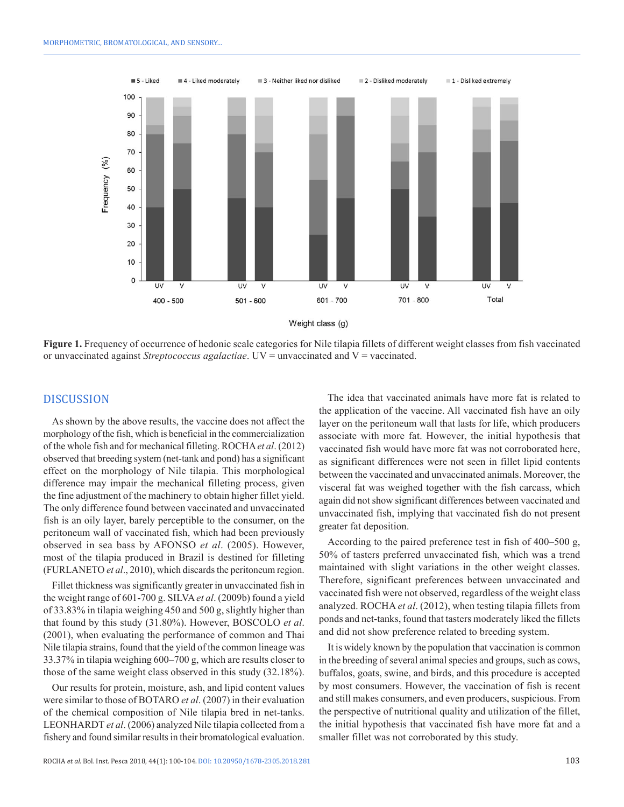

**Figure 1.** Frequency of occurrence of hedonic scale categories for Nile tilapia fillets of different weight classes from fish vaccinated or unvaccinated against *Streptococcus agalactiae*. UV = unvaccinated and V = vaccinated.

#### DISCUSSION

As shown by the above results, the vaccine does not affect the morphology of the fish, which is beneficial in the commercialization of the whole fish and for mechanical filleting. ROCHA*et al*. (2012) observed that breeding system (net-tank and pond) has a significant effect on the morphology of Nile tilapia. This morphological difference may impair the mechanical filleting process, given the fine adjustment of the machinery to obtain higher fillet yield. The only difference found between vaccinated and unvaccinated fish is an oily layer, barely perceptible to the consumer, on the peritoneum wall of vaccinated fish, which had been previously observed in sea bass by AFONSO *et al*. (2005). However, most of the tilapia produced in Brazil is destined for filleting (FURLANETO *et al*., 2010), which discards the peritoneum region.

Fillet thickness was significantly greater in unvaccinated fish in the weight range of 601-700 g. SILVA*et al*. (2009b) found a yield of 33.83% in tilapia weighing 450 and 500 g, slightly higher than that found by this study (31.80%). However, BOSCOLO *et al*. (2001), when evaluating the performance of common and Thai Nile tilapia strains, found that the yield of the common lineage was 33.37% in tilapia weighing 600–700 g, which are results closer to those of the same weight class observed in this study (32.18%).

Our results for protein, moisture, ash, and lipid content values were similar to those of BOTARO *et al*. (2007) in their evaluation of the chemical composition of Nile tilapia bred in net-tanks. LEONHARDT *et al*. (2006) analyzed Nile tilapia collected from a fishery and found similar results in their bromatological evaluation.

The idea that vaccinated animals have more fat is related to the application of the vaccine. All vaccinated fish have an oily layer on the peritoneum wall that lasts for life, which producers associate with more fat. However, the initial hypothesis that vaccinated fish would have more fat was not corroborated here, as significant differences were not seen in fillet lipid contents between the vaccinated and unvaccinated animals. Moreover, the visceral fat was weighed together with the fish carcass, which again did not show significant differences between vaccinated and unvaccinated fish, implying that vaccinated fish do not present greater fat deposition.

According to the paired preference test in fish of 400–500 g, 50% of tasters preferred unvaccinated fish, which was a trend maintained with slight variations in the other weight classes. Therefore, significant preferences between unvaccinated and vaccinated fish were not observed, regardless of the weight class analyzed. ROCHA *et al*. (2012), when testing tilapia fillets from ponds and net-tanks, found that tasters moderately liked the fillets and did not show preference related to breeding system.

It is widely known by the population that vaccination is common in the breeding of several animal species and groups, such as cows, buffalos, goats, swine, and birds, and this procedure is accepted by most consumers. However, the vaccination of fish is recent and still makes consumers, and even producers, suspicious. From the perspective of nutritional quality and utilization of the fillet, the initial hypothesis that vaccinated fish have more fat and a smaller fillet was not corroborated by this study.